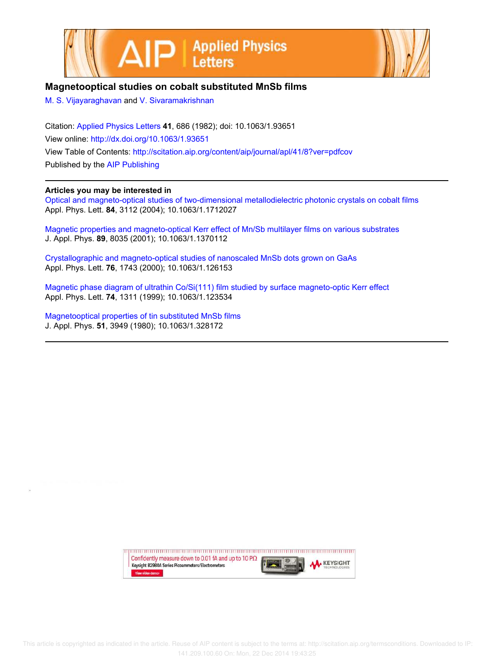



## **Magnetooptical studies on cobalt substituted MnSb films**

M. S. Vijayaraghavan and V. Sivaramakrishnan

Citation: Applied Physics Letters **41**, 686 (1982); doi: 10.1063/1.93651 View online: http://dx.doi.org/10.1063/1.93651 View Table of Contents: http://scitation.aip.org/content/aip/journal/apl/41/8?ver=pdfcov Published by the AIP Publishing

## **Articles you may be interested in**

Optical and magneto-optical studies of two-dimensional metallodielectric photonic crystals on cobalt films Appl. Phys. Lett. **84**, 3112 (2004); 10.1063/1.1712027

Magnetic properties and magneto-optical Kerr effect of Mn/Sb multilayer films on various substrates J. Appl. Phys. **89**, 8035 (2001); 10.1063/1.1370112

Crystallographic and magneto-optical studies of nanoscaled MnSb dots grown on GaAs Appl. Phys. Lett. **76**, 1743 (2000); 10.1063/1.126153

Magnetic phase diagram of ultrathin Co/Si(111) film studied by surface magneto-optic Kerr effect Appl. Phys. Lett. **74**, 1311 (1999); 10.1063/1.123534

Magnetooptical properties of tin substituted MnSb films J. Appl. Phys. **51**, 3949 (1980); 10.1063/1.328172

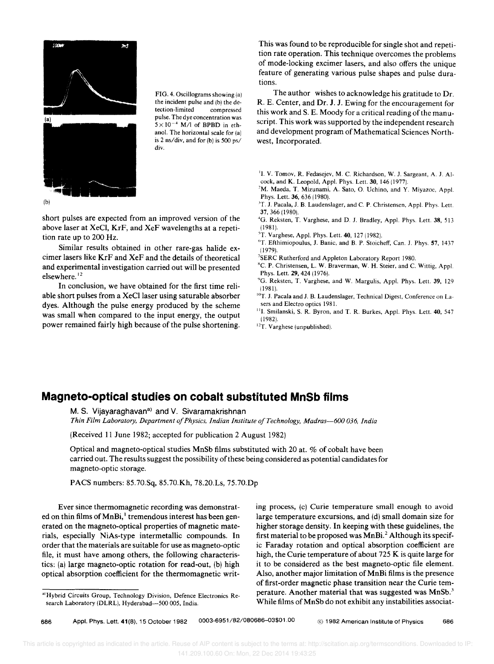

FIG. 4. Oscillograms showing (a) the incident pulse and (b) the detection-limited compressed pulse. The dye concentration was  $5 \times 10^{-4}$  M/l of BPBD in ethanol. The horizontal scale for (a) is 2 ns/div, and for (b) is 500 ps/ div.

short pulses are expected from an improved version of the above laser at XeCl, KrF, and XeF wavelengths at a repetition rate up to 200 Hz.

Similar results obtained in other rare-gas halide excimer lasers like KrF and XeF and the details of theoretical and experimental investigation carried out will be presented elsewhere. <sup>12</sup>

**In** conclusion, we have obtained for the first time reliable short pulses from a XeCl laser using saturable absorber dyes. Although the pulse energy produced by the scheme was small when compared to the input energy, the output power remained fairly high because of the pulse shortening.

This was found to be reproducible for single shot and repetition rate operation. This technique overcomes the problems of mode-locking excimer lasers, and also offers the unique feature of generating various pulse shapes and pulse durations.

The author wishes to acknowledge his gratitude to Dr. R. E. Center, and Dr. J. J. Ewing for the encouragement for this work and S. E. Moody for a critical reading of the manuscript. This work was supported by the independent research and development program of Mathematical Sciences Northwest, Incorporated.

- <sup>1</sup>I. V. Tomov, R. Fedasejev, M. C. Richardson, W. J. Sargeant, A. J. Alcock, and K. Leopold, Appl. Phys. Lett. 30, 146 (1977).
- <sup>2</sup>M. Maeda, T. Mizunami, A. Sato, O. Uchino, and Y. Miyazoe, Appl. Phys. Lett. 36, 636 (1980).
- <sup>3</sup>T. J. Pacala, J. B. Laudenslager, and C. P. Christensen, Appl. Phys. Lett. 37,366 (1980).
- <sup>4</sup>G. Reksten, T. Varghese, and D. J. Bradley, Appl. Phys. Lett. 38, 513 (1981).
- ${}^{5}$ T. Varghese, Appl. Phys. Lett. 40, 127 (1982).
- 'T. Efthimiopoulus, J. Banic, and B. P. Stoicheff, Can. J. Phys. 57, 1437 (1979).
- 7SERC Rutherford and Appleton Laboratory Report 1980.
- <sup>8</sup>C. P. Christensen, L. W. Braverman, W. H. Steier, and C. Wittig, Appl. Phys. Lett. 29, 424 (1976).
- "G. Reksten, T. Varghese, and W. Margulis, Appl. Phys. Lett. 39, 129 (1981).
- $^{10}$ T. J. Pacala and J. B. Laudenslager, Technical Digest, Conference on Lasers and Electro optics 1981.
- <sup>11</sup>I. Smilanski, S. R. Byron, and T. R. Burkes, Appl. Phys. Lett. 40, 547 (1982).
- <sup>12</sup>T. Varghese (unpublished).

## **Magneto-optical studies on cobalt substituted MnSb films**

M. S. Vijayaraghavan<sup>a)</sup> and V. Sivaramakrishnan

*Thin Film Laboratory, Department 0/ Physics, Indian Institute o/Technology, Madras-600 036, India* 

(Received 11 June 1982; accepted for publication 2 August 1982)

Optical and magneto-optical studies MnSb films substituted with 20 at. % of cobalt have been carried out. The results suggest the possibility of these being considered as potential candidates for magneto-optic storage.

PACS numbers: 85.70.Sq, 85.70.Kh, 78.20.Ls, 75.70.Dp

Ever since thermomagnetic recording was demonstrated on thin films of MnBi,<sup>1</sup> tremendous interest has been generated on the magneto-optical properties of magnetic materials, especially NiAs-type intermetallic compounds. **In**  order that the materials are suitable for use as magneto-optic file, it must have among others, the following characteristics: (a) large magneto-optic rotation for read-out, (b) high optical absorption coefficient for the thermomagnetic writing process, (c) Curie temperature small enough to avoid large temperature excursions, and (d) small domain size for higher storage density. **In** keeping with these guidelines, the first material to be proposed was  $MnBi<sup>2</sup>$  Although its specific Faraday rotation and optical absorption coefficient are high, the Curie temperature of about 725 K is quite large for it to be considered as the best magneto-optic file element. Also, another major limitation of MnBi films is the presence of first-order magnetic phase transition near the Curie temperature. Another material that was suggested was  $MnSb$ <sup>3</sup> While films of MnSb do not exhibit any instabilities associat-

686 Appl. Phys. Lett. **41** (8), 15 October 1982 0003-6951/82/080686-03\$01.00 @ 1982 American Institute of PhYSics 686

a' Hybrid Circuits Group, Technology Division, Defence Electronics Research Laboratory (DLRL), Hyderabad-500 005, India.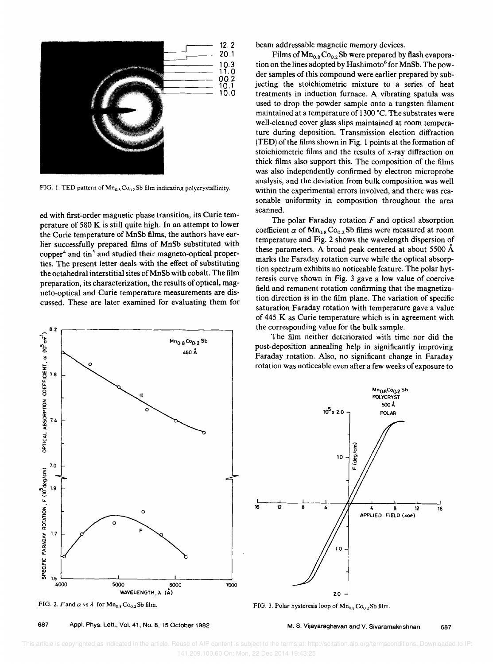

FIG. 1. TED pattern of  $Mn_{0.8}Co_{0.2}Sb$  film indicating polycrystallinity.

ed with first-order magnetic phase transition, its Curie temperature of 580 K is still quite high. In an attempt to lower the Curie temperature of MnSb films, the authors have earlier successfully prepared films of MnSb substituted with copper<sup>4</sup> and tin<sup>5</sup> and studied their magneto-optical properties. The present letter deals with the effect of substituting the octahedral interstitial sites of MnSb with cobalt. The film preparation, its characterization, the results of optical, magneto-optical and Curie temperature measurements are discussed. These are later examined for evaluating them for



FIG. 2. *F* and  $\alpha$  vs  $\lambda$  for  $\text{Mn}_{0.8}\text{Co}_{0.2}\text{Sb film.}$ 

687 Appl. Phys. Lett., Vol. 41, No. 8, 15 October 1982

beam addressable magnetic memory devices.

Films of  $Mn_{0.8}Co_{0.2}Sb$  were prepared by flash evaporation on the lines adopted by Hashimoto<sup>6</sup> for MnSb. The powder samples of this compound were earlier prepared by subjecting the stoichiometric mixture to a series of heat treatments in induction furnace. A vibrating spatula was used to drop the powder sample onto a tungsten filament maintained at a temperature of 1300 °C. The substrates were well-cleaned cover glass slips maintained at room temperature during deposition. Transmission election diffraction (TED) of the films shown in Fig. 1 points at the formation of stoichiometric films and the results of x-ray diffraction on thick films also support this. The composition of the films was also independently confirmed by electron microprobe analysis, and the deviation from bulk composition was well within the experimental errors involved, and there was reasonable uniformity in composition throughout the area scanned.

The polar Faraday rotation *F* and optical absorption coefficient  $\alpha$  of  $\text{Mn}_{0.8}$  Co<sub>0.2</sub> Sb films were measured at room temperature and Fig. 2 shows the wavelength dispersion of these parameters. A broad peak centered at about 5500 A marks the Faraday rotation curve while the optical absorption spectrum exhibits no noticeable feature. The polar hysteresis curve shown in Fig. 3 gave a low value of coercive field and remanent rotation confirming that the magnetization direction is in the film plane. The variation of specific saturation Faraday rotation with temperature gave a value of 445 K as Curie temperature which is in agreement with the corresponding value for the bulk sample.

The film neither deteriorated with time nor did the post-deposition annealing help in significantly improving Faraday rotation. Also, no significant change in Faraday rotation was noticeable even after a few weeks of exposure to



FIG. 3. Polar hysteresis loop of  $\mathbf{Mn}_{0.8}\mathrm{Co_{0.2}}$ Sb film.